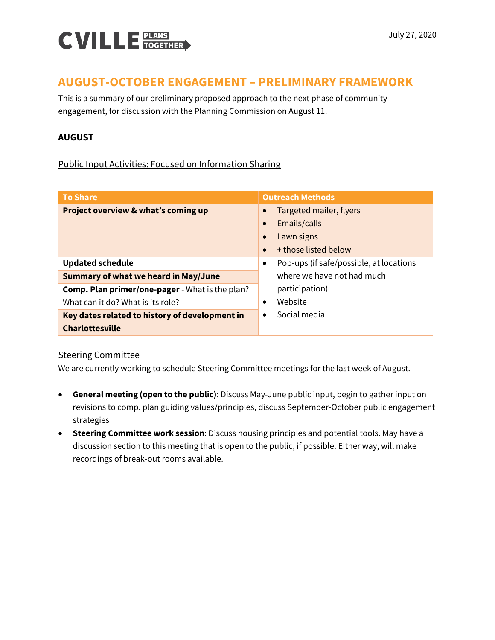

# **AUGUST-OCTOBER ENGAGEMENT – PRELIMINARY FRAMEWORK**

This is a summary of our preliminary proposed approach to the next phase of community engagement, for discussion with the Planning Commission on August 11.

### **AUGUST**

#### Public Input Activities: Focused on Information Sharing

| <b>To Share</b>                                 | <b>Outreach Methods</b>                              |
|-------------------------------------------------|------------------------------------------------------|
| Project overview & what's coming up             | Targeted mailer, flyers                              |
|                                                 | Emails/calls<br>$\bullet$                            |
|                                                 | Lawn signs                                           |
|                                                 | + those listed below                                 |
| <b>Updated schedule</b>                         | Pop-ups (if safe/possible, at locations<br>$\bullet$ |
| <b>Summary of what we heard in May/June</b>     | where we have not had much                           |
| Comp. Plan primer/one-pager - What is the plan? | participation)                                       |
| What can it do? What is its role?               | Website                                              |
| Key dates related to history of development in  | Social media                                         |
| <b>Charlottesville</b>                          |                                                      |

#### Steering Committee

We are currently working to schedule Steering Committee meetings for the last week of August.

- **General meeting (open to the public)**: Discuss May-June public input, begin to gather input on revisions to comp. plan guiding values/principles, discuss September-October public engagement strategies
- **Steering Committee work session**: Discuss housing principles and potential tools. May have a discussion section to this meeting that is open to the public, if possible. Either way, will make recordings of break-out rooms available.